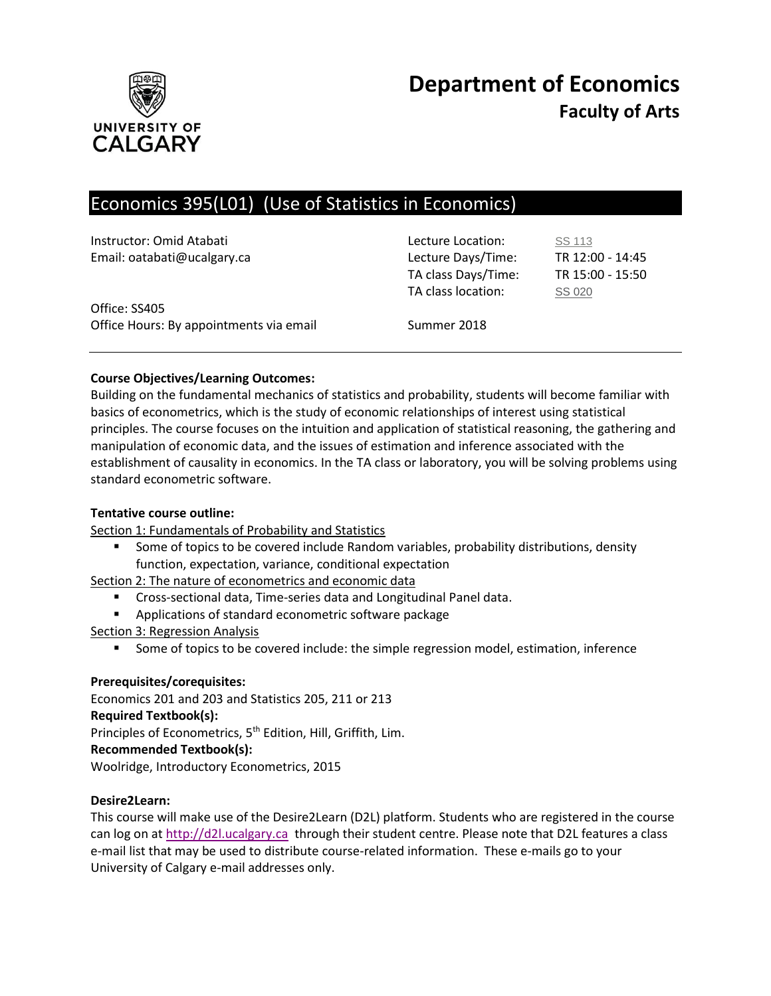

# **Department of Economics Faculty of Arts**

# Economics 395(L01) (Use of Statistics in Economics)

| Instructor: Omid Atabati<br>Email: oatabati@ucalgary.ca  | Lecture Location:<br>Lecture Days/Time:<br>TA class Days/Time:<br>TA class location: | SS 113<br>TR 12:00 - 14:45<br>TR 15:00 - 15:50<br>SS 020 |
|----------------------------------------------------------|--------------------------------------------------------------------------------------|----------------------------------------------------------|
| Office: SS405<br>Office Hours: By appointments via email | Summer 2018                                                                          |                                                          |

# **Course Objectives/Learning Outcomes:**

Building on the fundamental mechanics of statistics and probability, students will become familiar with basics of econometrics, which is the study of economic relationships of interest using statistical principles. The course focuses on the intuition and application of statistical reasoning, the gathering and manipulation of economic data, and the issues of estimation and inference associated with the establishment of causality in economics. In the TA class or laboratory, you will be solving problems using standard econometric software.

# **Tentative course outline:**

Section 1: Fundamentals of Probability and Statistics

 Some of topics to be covered include Random variables, probability distributions, density function, expectation, variance, conditional expectation

Section 2: The nature of econometrics and economic data

- **EXP** Cross-sectional data, Time-series data and Longitudinal Panel data.
- **Applications of standard econometric software package**
- Section 3: Regression Analysis
	- **Some of topics to be covered include: the simple regression model, estimation, inference**

# **Prerequisites/corequisites:**

Economics 201 and 203 and Statistics 205, 211 or 213 **Required Textbook(s):** Principles of Econometrics, 5<sup>th</sup> Edition, Hill, Griffith, Lim. **Recommended Textbook(s):** Woolridge, Introductory Econometrics, 2015

# **Desire2Learn:**

This course will make use of the Desire2Learn (D2L) platform. Students who are registered in the course can log on a[t http://d2l.ucalgary.ca](http://d2l.ucalgary.ca/) through their student centre. Please note that D2L features a class e-mail list that may be used to distribute course-related information. These e-mails go to your University of Calgary e-mail addresses only.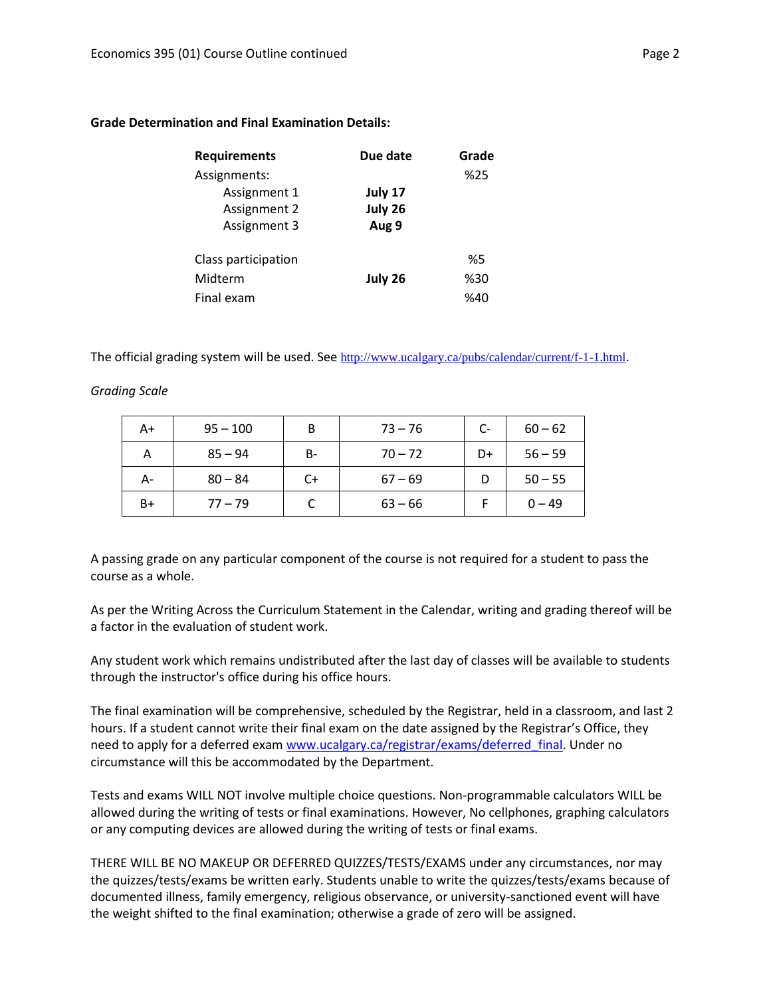| <b>Requirements</b> | Due date | Grade |
|---------------------|----------|-------|
| Assignments:        |          | %25   |
| Assignment 1        | July 17  |       |
| Assignment 2        | July 26  |       |
| Assignment 3        | Aug 9    |       |
| Class participation |          | %5    |
| Midterm             | July 26  | %30   |
| Final exam          |          | %40   |

#### **Grade Determination and Final Examination Details:**

The official grading system will be used. See <http://www.ucalgary.ca/pubs/calendar/current/f-1-1.html>.

# *Grading Scale*

| A+   | $95 - 100$ | B  | $73 - 76$ | $C-$ | $60 - 62$ |
|------|------------|----|-----------|------|-----------|
| А    | $85 - 94$  | B- | $70 - 72$ | D+   | $56 - 59$ |
| А-   | $80 - 84$  | C+ | $67 - 69$ |      | $50 - 55$ |
| $B+$ | $77 - 79$  |    | $63 - 66$ |      | $0 - 49$  |

A passing grade on any particular component of the course is not required for a student to pass the course as a whole.

As per the Writing Across the Curriculum Statement in the Calendar, writing and grading thereof will be a factor in the evaluation of student work.

Any student work which remains undistributed after the last day of classes will be available to students through the instructor's office during his office hours.

The final examination will be comprehensive, scheduled by the Registrar, held in a classroom, and last 2 hours. If a student cannot write their final exam on the date assigned by the Registrar's Office, they need to apply for a deferred exam [www.ucalgary.ca/registrar/exams/deferred\\_final.](http://www.ucalgary.ca/registrar/exams/deferred_final) Under no circumstance will this be accommodated by the Department.

Tests and exams WILL NOT involve multiple choice questions. Non-programmable calculators WILL be allowed during the writing of tests or final examinations. However, No cellphones, graphing calculators or any computing devices are allowed during the writing of tests or final exams.

THERE WILL BE NO MAKEUP OR DEFERRED QUIZZES/TESTS/EXAMS under any circumstances, nor may the quizzes/tests/exams be written early. Students unable to write the quizzes/tests/exams because of documented illness, family emergency, religious observance, or university-sanctioned event will have the weight shifted to the final examination; otherwise a grade of zero will be assigned.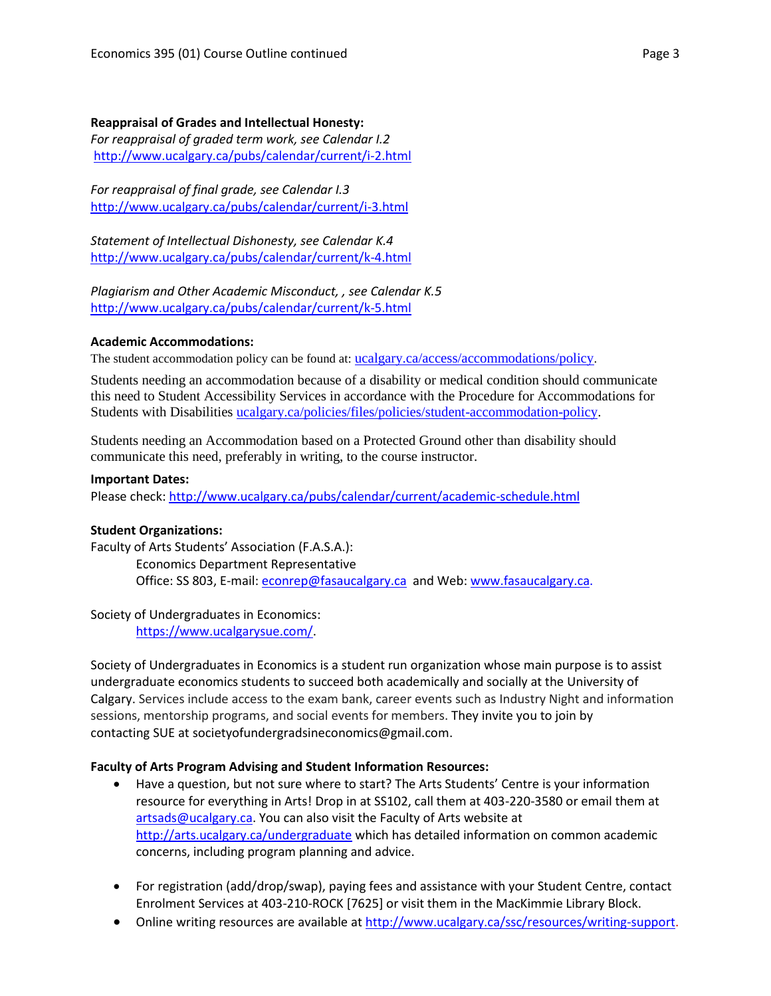# **Reappraisal of Grades and Intellectual Honesty:**

*For reappraisal of graded term work, see Calendar I.2* <http://www.ucalgary.ca/pubs/calendar/current/i-2.html>

*For reappraisal of final grade, see Calendar I.3* <http://www.ucalgary.ca/pubs/calendar/current/i-3.html>

*Statement of Intellectual Dishonesty, see Calendar K.4* <http://www.ucalgary.ca/pubs/calendar/current/k-4.html>

*Plagiarism and Other Academic Misconduct, , see Calendar K.5* <http://www.ucalgary.ca/pubs/calendar/current/k-5.html>

# **Academic Accommodations:**

The student accommodation policy can be found at: [ucalgary.ca/access/accommodations/policy](http://www.ucalgary.ca/access/accommodations/policy).

Students needing an accommodation because of a disability or medical condition should communicate this need to Student Accessibility Services in accordance with the Procedure for Accommodations for Students with Disabilities [ucalgary.ca/policies/files/policies/student-accommodation-policy.](http://www.ucalgary.ca/policies/files/policies/student-accommodation-policy.pdf)

Students needing an Accommodation based on a Protected Ground other than disability should communicate this need, preferably in writing, to the course instructor.

# **Important Dates:**

Please check:<http://www.ucalgary.ca/pubs/calendar/current/academic-schedule.html>

# **Student Organizations:**

Faculty of Arts Students' Association (F.A.S.A.): Economics Department Representative Office: SS 803, E-mail: [econrep@fasaucalgary.ca](mailto:econrep@fasaucalgary.ca) and Web[: www.fasaucalgary.ca.](http://www.fasaucalgary.ca/)

# Society of Undergraduates in Economics:

[https://www.ucalgarysue.com/.](https://www.ucalgarysue.com/)

Society of Undergraduates in Economics is a student run organization whose main purpose is to assist undergraduate economics students to succeed both academically and socially at the University of Calgary. Services include access to the exam bank, career events such as Industry Night and information sessions, mentorship programs, and social events for members. They invite you to join by contacting SUE at societyofundergradsineconomics@gmail.com.

# **Faculty of Arts Program Advising and Student Information Resources:**

- Have a question, but not sure where to start? The Arts Students' Centre is your information resource for everything in Arts! Drop in at SS102, call them at 403-220-3580 or email them at [artsads@ucalgary.ca.](mailto:artsads@ucalgary.ca) You can also visit the Faculty of Arts website at <http://arts.ucalgary.ca/undergraduate> which has detailed information on common academic concerns, including program planning and advice.
- For registration (add/drop/swap), paying fees and assistance with your Student Centre, contact Enrolment Services at 403-210-ROCK [7625] or visit them in the MacKimmie Library Block.
- Online writing resources are available at [http://www.ucalgary.ca/ssc/resources/writing-support.](http://www.ucalgary.ca/ssc/resources/writing-support)